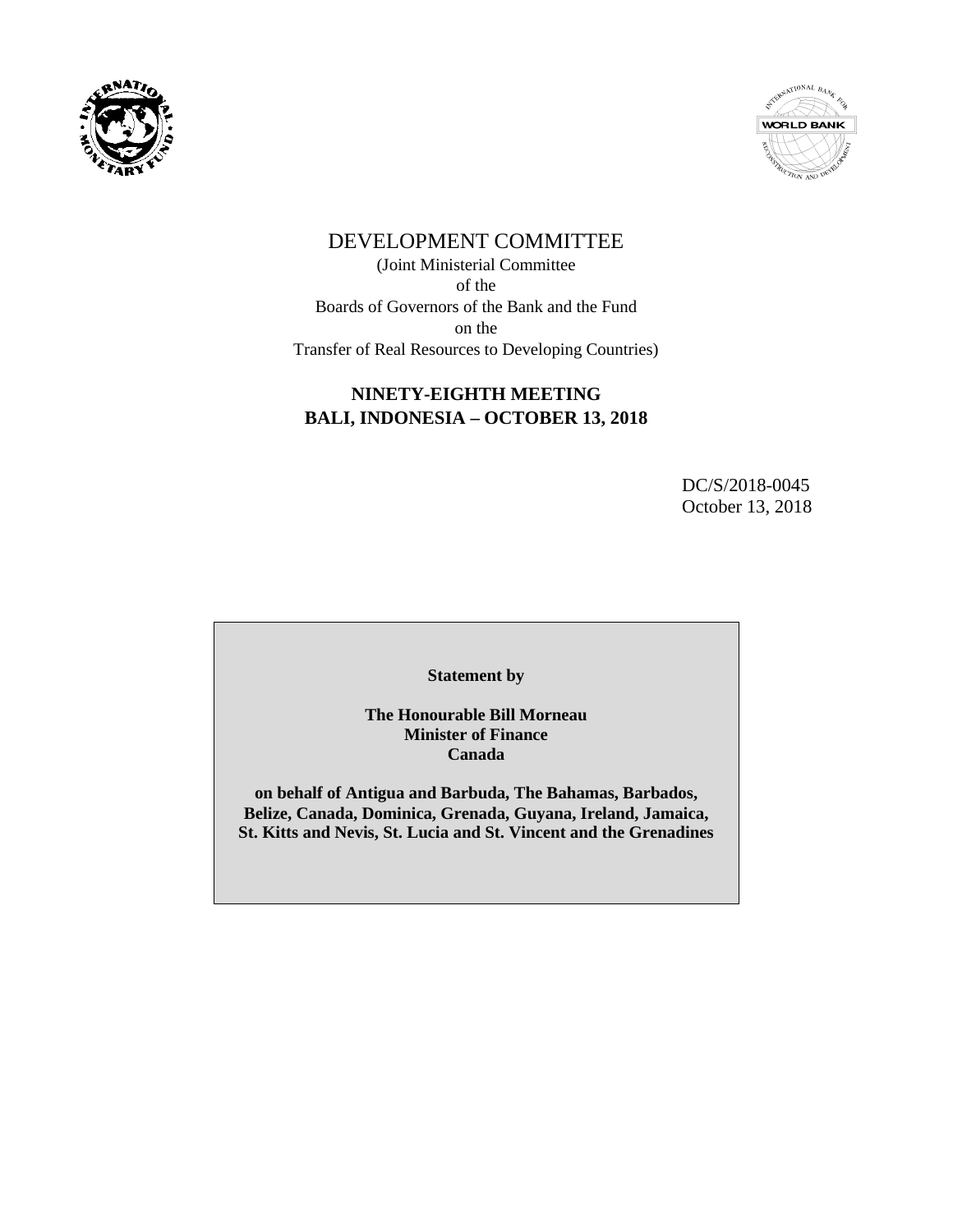



# DEVELOPMENT COMMITTEE

(Joint Ministerial Committee of the Boards of Governors of the Bank and the Fund on the Transfer of Real Resources to Developing Countries)

## **NINETY-EIGHTH MEETING BALI, INDONESIA – OCTOBER 13, 2018**

DC/S/2018-0045 October 13, 2018

**Statement by**

**The Honourable Bill Morneau Minister of Finance Canada**

**on behalf of Antigua and Barbuda, The Bahamas, Barbados, Belize, Canada, Dominica, Grenada, Guyana, Ireland, Jamaica, St. Kitts and Nevis, St. Lucia and St. Vincent and the Grenadines**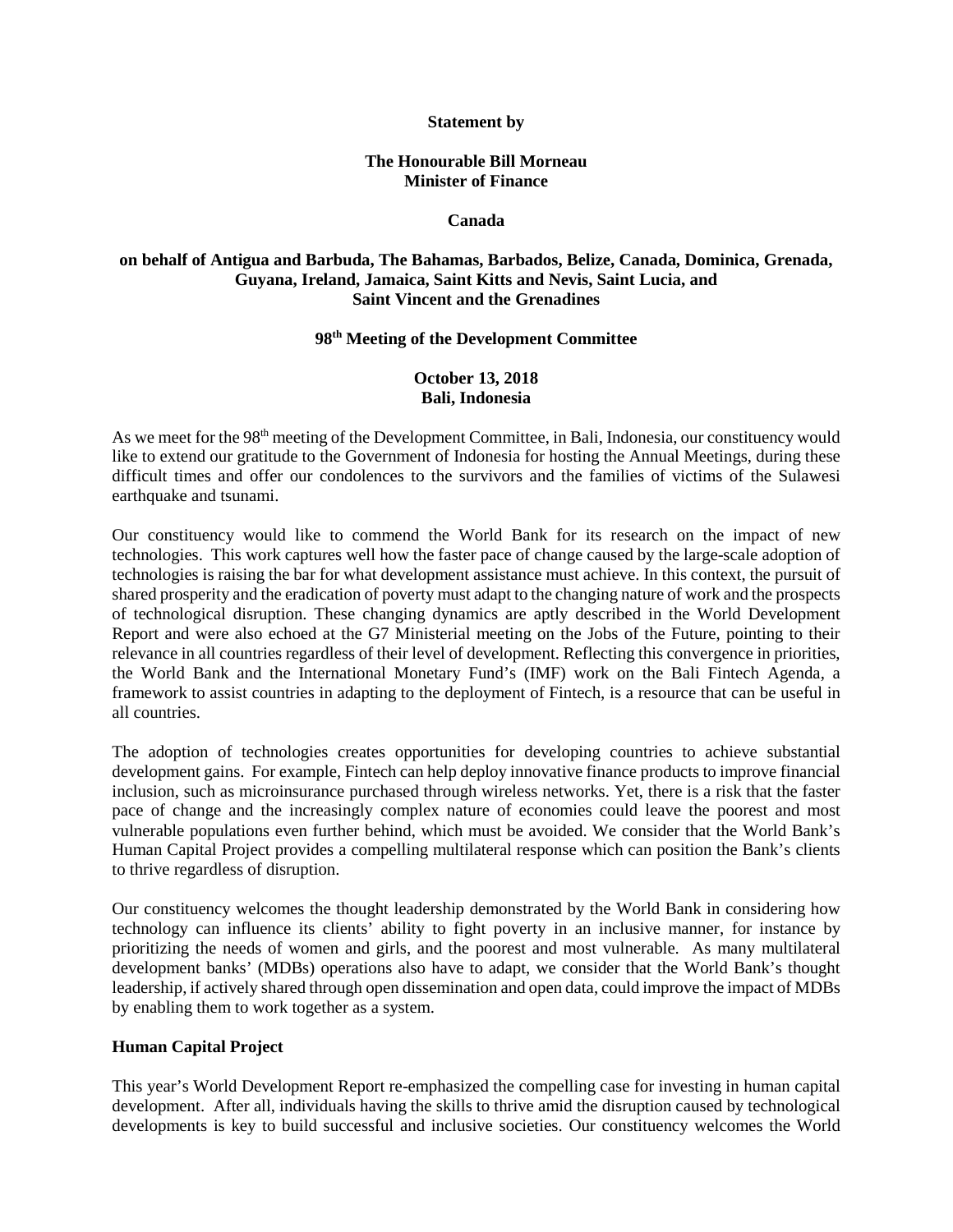#### **Statement by**

### **The Honourable Bill Morneau Minister of Finance**

#### **Canada**

## **on behalf of Antigua and Barbuda, The Bahamas, Barbados, Belize, Canada, Dominica, Grenada, Guyana, Ireland, Jamaica, Saint Kitts and Nevis, Saint Lucia, and Saint Vincent and the Grenadines**

## **98th Meeting of the Development Committee**

## **October 13, 2018 Bali, Indonesia**

As we meet for the 98<sup>th</sup> meeting of the Development Committee, in Bali, Indonesia, our constituency would like to extend our gratitude to the Government of Indonesia for hosting the Annual Meetings, during these difficult times and offer our condolences to the survivors and the families of victims of the Sulawesi earthquake and tsunami.

Our constituency would like to commend the World Bank for its research on the impact of new technologies. This work captures well how the faster pace of change caused by the large-scale adoption of technologies is raising the bar for what development assistance must achieve. In this context, the pursuit of shared prosperity and the eradication of poverty must adapt to the changing nature of work and the prospects of technological disruption. These changing dynamics are aptly described in the World Development Report and were also echoed at the G7 Ministerial meeting on the Jobs of the Future, pointing to their relevance in all countries regardless of their level of development. Reflecting this convergence in priorities, the World Bank and the International Monetary Fund's (IMF) work on the Bali Fintech Agenda, a framework to assist countries in adapting to the deployment of Fintech, is a resource that can be useful in all countries.

The adoption of technologies creates opportunities for developing countries to achieve substantial development gains. For example, Fintech can help deploy innovative finance products to improve financial inclusion, such as microinsurance purchased through wireless networks. Yet, there is a risk that the faster pace of change and the increasingly complex nature of economies could leave the poorest and most vulnerable populations even further behind, which must be avoided. We consider that the World Bank's Human Capital Project provides a compelling multilateral response which can position the Bank's clients to thrive regardless of disruption.

Our constituency welcomes the thought leadership demonstrated by the World Bank in considering how technology can influence its clients' ability to fight poverty in an inclusive manner, for instance by prioritizing the needs of women and girls, and the poorest and most vulnerable. As many multilateral development banks' (MDBs) operations also have to adapt, we consider that the World Bank's thought leadership, if actively shared through open dissemination and open data, could improve the impact of MDBs by enabling them to work together as a system.

#### **Human Capital Project**

This year's World Development Report re-emphasized the compelling case for investing in human capital development. After all, individuals having the skills to thrive amid the disruption caused by technological developments is key to build successful and inclusive societies. Our constituency welcomes the World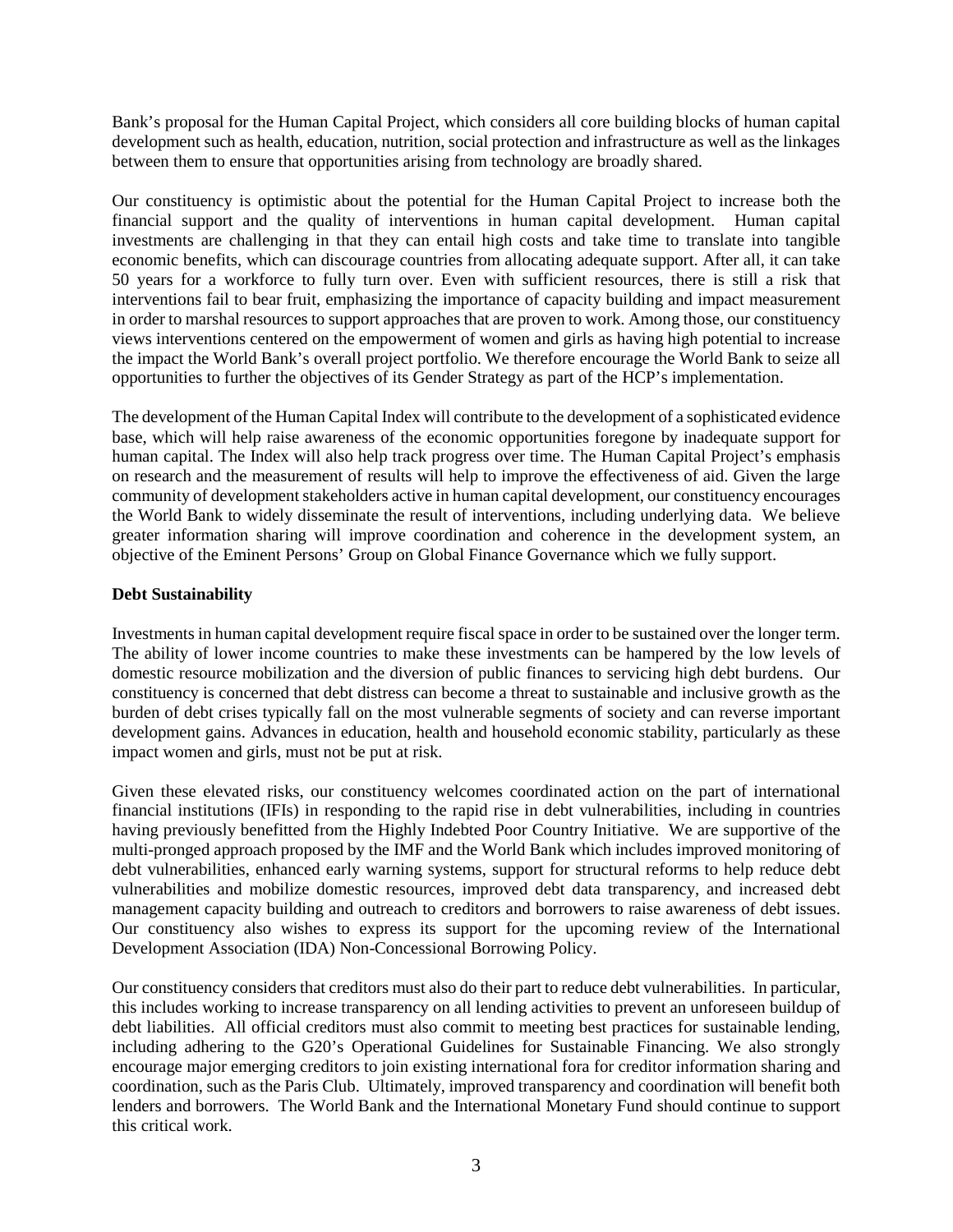Bank's proposal for the Human Capital Project, which considers all core building blocks of human capital development such as health, education, nutrition, social protection and infrastructure as well as the linkages between them to ensure that opportunities arising from technology are broadly shared.

Our constituency is optimistic about the potential for the Human Capital Project to increase both the financial support and the quality of interventions in human capital development. Human capital investments are challenging in that they can entail high costs and take time to translate into tangible economic benefits, which can discourage countries from allocating adequate support. After all, it can take 50 years for a workforce to fully turn over. Even with sufficient resources, there is still a risk that interventions fail to bear fruit, emphasizing the importance of capacity building and impact measurement in order to marshal resources to support approaches that are proven to work. Among those, our constituency views interventions centered on the empowerment of women and girls as having high potential to increase the impact the World Bank's overall project portfolio. We therefore encourage the World Bank to seize all opportunities to further the objectives of its Gender Strategy as part of the HCP's implementation.

The development of the Human Capital Index will contribute to the development of a sophisticated evidence base, which will help raise awareness of the economic opportunities foregone by inadequate support for human capital. The Index will also help track progress over time. The Human Capital Project's emphasis on research and the measurement of results will help to improve the effectiveness of aid. Given the large community of development stakeholders active in human capital development, our constituency encourages the World Bank to widely disseminate the result of interventions, including underlying data. We believe greater information sharing will improve coordination and coherence in the development system, an objective of the Eminent Persons' Group on Global Finance Governance which we fully support.

## **Debt Sustainability**

Investments in human capital development require fiscal space in order to be sustained over the longer term. The ability of lower income countries to make these investments can be hampered by the low levels of domestic resource mobilization and the diversion of public finances to servicing high debt burdens. Our constituency is concerned that debt distress can become a threat to sustainable and inclusive growth as the burden of debt crises typically fall on the most vulnerable segments of society and can reverse important development gains. Advances in education, health and household economic stability, particularly as these impact women and girls, must not be put at risk.

Given these elevated risks, our constituency welcomes coordinated action on the part of international financial institutions (IFIs) in responding to the rapid rise in debt vulnerabilities, including in countries having previously benefitted from the Highly Indebted Poor Country Initiative. We are supportive of the multi-pronged approach proposed by the IMF and the World Bank which includes improved monitoring of debt vulnerabilities, enhanced early warning systems, support for structural reforms to help reduce debt vulnerabilities and mobilize domestic resources, improved debt data transparency, and increased debt management capacity building and outreach to creditors and borrowers to raise awareness of debt issues. Our constituency also wishes to express its support for the upcoming review of the International Development Association (IDA) Non-Concessional Borrowing Policy.

Our constituency considers that creditors must also do their part to reduce debt vulnerabilities. In particular, this includes working to increase transparency on all lending activities to prevent an unforeseen buildup of debt liabilities. All official creditors must also commit to meeting best practices for sustainable lending, including adhering to the G20's Operational Guidelines for Sustainable Financing. We also strongly encourage major emerging creditors to join existing international fora for creditor information sharing and coordination, such as the Paris Club. Ultimately, improved transparency and coordination will benefit both lenders and borrowers. The World Bank and the International Monetary Fund should continue to support this critical work.